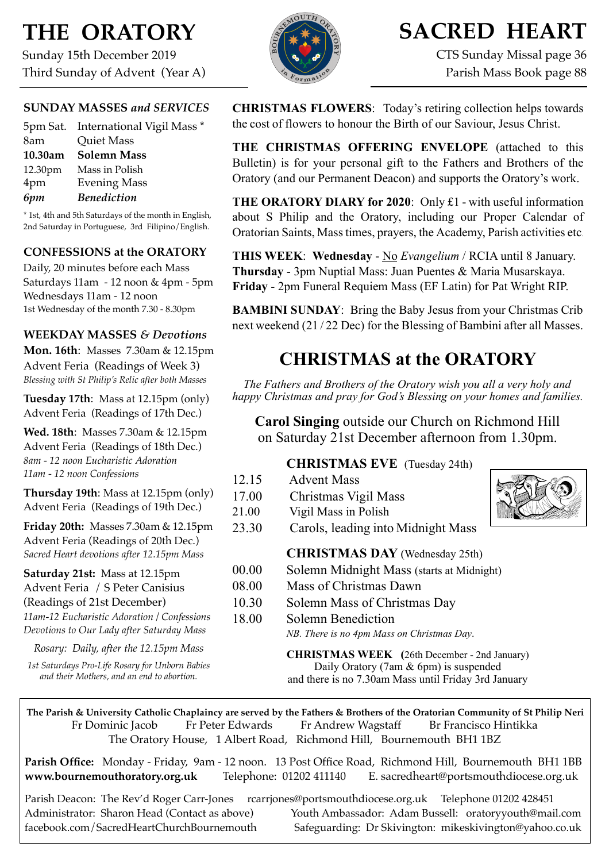# **THE ORATORY**

Sunday 15th December 2019 Third Sunday of Advent (Year A)

### **SUNDAY MASSES** *and SERVICES*

|         | 5pm Sat. International Vigil Mass * |
|---------|-------------------------------------|
| 8am     | <b>Quiet Mass</b>                   |
| 10.30am | <b>Solemn Mass</b>                  |
| 12.30pm | Mass in Polish                      |
| 4pm     | <b>Evening Mass</b>                 |
| 6pm     | <b>Benediction</b>                  |

\* 1st, 4th and 5th Saturdays of the month in English, 2nd Saturday in Portuguese, 3rd Filipino/English.

### **CONFESSIONS at the ORATORY**

Daily, 20 minutes before each Mass Saturdays 11am - 12 noon & 4pm - 5pm Wednesdays 11am - 12 noon 1st Wednesday of the month 7.30 - 8.30pm

### **WEEKDAY MASSES** *& Devotions*

**Mon. 16th**: Masses 7.30am & 12.15pm Advent Feria (Readings of Week 3) *Blessing with St Philip's Relic after both Masses*

**Tuesday 17th**: Mass at 12.15pm (only) Advent Feria (Readings of 17th Dec.)

**Wed. 18th**: Masses 7.30am & 12.15pm Advent Feria (Readings of 18th Dec.) *8am - 12 noon Eucharistic Adoration 11am - 12 noon Confessions*

**Thursday 19th**: Mass at 12.15pm (only) Advent Feria (Readings of 19th Dec.)

**Friday 20th:** Masses 7.30am & 12.15pm Advent Feria (Readings of 20th Dec.) *Sacred Heart devotions after 12.15pm Mass*

### **Saturday 21st:** Mass at 12.15pm Advent Feria / S Peter Canisius (Readings of 21st December)

*11am-12 Eucharistic Adoration / Confessions Devotions to Our Lady after Saturday Mass*

*Rosary: Daily, after the 12.15pm Mass*

*1st Saturdays Pro-Life Rosary for Unborn Babies and their Mothers, and an end to abortion.*



# **SACRED HEART**

CTS Sunday Missal page 36 Parish Mass Book page 88

**CHRISTMAS FLOWERS**: Today's retiring collection helps towards the cost of flowers to honour the Birth of our Saviour, Jesus Christ.

**THE CHRISTMAS OFFERING ENVELOPE** (attached to this Bulletin) is for your personal gift to the Fathers and Brothers of the Oratory (and our Permanent Deacon) and supports the Oratory's work.

**THE ORATORY DIARY for 2020**: Only £1 - with useful information about S Philip and the Oratory, including our Proper Calendar of Oratorian Saints, Masstimes, prayers, the Academy, Parish activities etc.

**THIS WEEK**: **Wednesday** - No *Evangelium* / RCIA until 8 January. **Thursday** - 3pm Nuptial Mass: Juan Puentes & Maria Musarskaya. **Friday** - 2pm Funeral Requiem Mass (EF Latin) for Pat Wright RIP.

**BAMBINI SUNDAY**: Bring the Baby Jesus from your Christmas Crib next weekend (21 / 22 Dec) for the Blessing of Bambini after all Masses.

## **CHRISTMAS at the ORATORY**

*The Fathers and Brothers of the Oratory wish you all a very holy and happy Christmas and pray for God's Blessing on your homes and families.* 

**Carol Singing** outside our Church on Richmond Hill on Saturday 21st December afternoon from 1.30pm.

## **CHRISTMAS EVE** (Tuesday 24th)

| 12.15 | <b>Advent Mass</b>                         |  |
|-------|--------------------------------------------|--|
| 17.00 | Christmas Vigil Mass                       |  |
| 21.00 | Vigil Mass in Polish                       |  |
| 23.30 | Carols, leading into Midnight Mass         |  |
|       | <b>CHRISTMAS DAY</b> (Wednesday 25th)      |  |
| 00.00 | Solemn Midnight Mass (starts at Midnight)  |  |
| 08.00 | Mass of Christmas Dawn                     |  |
| 10.30 | Solemn Mass of Christmas Day               |  |
| 18.00 | <b>Solemn Benediction</b>                  |  |
|       | NB. There is no 4pm Mass on Christmas Day. |  |
|       |                                            |  |

**CHRISTMAS WEEK (**26th December - 2nd January) Daily Oratory (7am & 6pm) is suspended and there is no 7.30am Mass until Friday 3rd January

**The Parish & University Catholic Chaplaincy are served by the Fathers & Brothers of the Oratorian Community of St Philip Neri**  Fr Dominic Jacob Fr Peter Edwards Fr Andrew Wagstaff Br Francisco Hintikka The Oratory House, 1 Albert Road, Richmond Hill, Bournemouth BH1 1BZ

**Parish Office:** Monday - Friday, 9am - 12 noon. 13 Post Office Road, Richmond Hill, Bournemouth BH1 1BB **[www.bournemouthoratory.org.uk](http://www.bournemoithoratory.org.uk)** Telephone: 01202 411140 E. [sacredheart@portsmouthdiocese.org.uk](mailto:sacredheart@portsmouthdiocese.org.uk)

Parish Deacon: The Rev'd Roger Carr-Jones [rcarrjones@portsmouthdiocese.org.uk](mailto:rcarrjones@portsmouthdiocese.org.uk) Telephone 01202 428451 Administrator: Sharon Head (Contact as above) Youth Ambassador: Adam Bussell: [oratoryyouth@mail.com](http://oratoryyouth.mail.com) [facebook.com/SacredHeartChurchBournemouth](http://facebook.com/SaccredHeartChurchBournemouth) Safeguarding: Dr Skivington: mikeskivington@yahoo.co.uk